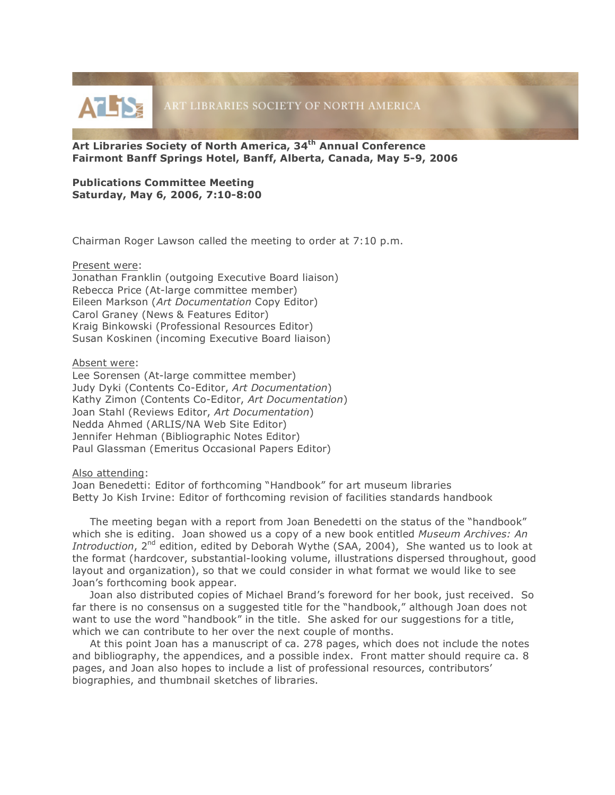

**Art Libraries Society of North America, 34th Annual Conference Fairmont Banff Springs Hotel, Banff, Alberta, Canada, May 5-9, 2006**

## **Publications Committee Meeting Saturday, May 6, 2006, 7:10-8:00**

Chairman Roger Lawson called the meeting to order at 7:10 p.m.

## Present were:

Jonathan Franklin (outgoing Executive Board liaison) Rebecca Price (At-large committee member) Eileen Markson (*Art Documentation* Copy Editor) Carol Graney (News & Features Editor) Kraig Binkowski (Professional Resources Editor) Susan Koskinen (incoming Executive Board liaison)

## Absent were:

Lee Sorensen (At-large committee member) Judy Dyki (Contents Co-Editor, *Art Documentation*) Kathy Zimon (Contents Co-Editor, *Art Documentation*) Joan Stahl (Reviews Editor, *Art Documentation*) Nedda Ahmed (ARLIS/NA Web Site Editor) Jennifer Hehman (Bibliographic Notes Editor) Paul Glassman (Emeritus Occasional Papers Editor)

## Also attending:

Joan Benedetti: Editor of forthcoming "Handbook" for art museum libraries Betty Jo Kish Irvine: Editor of forthcoming revision of facilities standards handbook

The meeting began with a report from Joan Benedetti on the status of the "handbook" which she is editing. Joan showed us a copy of a new book entitled *Museum Archives: An Introduction*, 2<sup>nd</sup> edition, edited by Deborah Wythe (SAA, 2004), She wanted us to look at the format (hardcover, substantial-looking volume, illustrations dispersed throughout, good layout and organization), so that we could consider in what format we would like to see Joan's forthcoming book appear.

Joan also distributed copies of Michael Brand's foreword for her book, just received. So far there is no consensus on a suggested title for the "handbook," although Joan does not want to use the word "handbook" in the title. She asked for our suggestions for a title, which we can contribute to her over the next couple of months.

At this point Joan has a manuscript of ca. 278 pages, which does not include the notes and bibliography, the appendices, and a possible index. Front matter should require ca. 8 pages, and Joan also hopes to include a list of professional resources, contributors' biographies, and thumbnail sketches of libraries.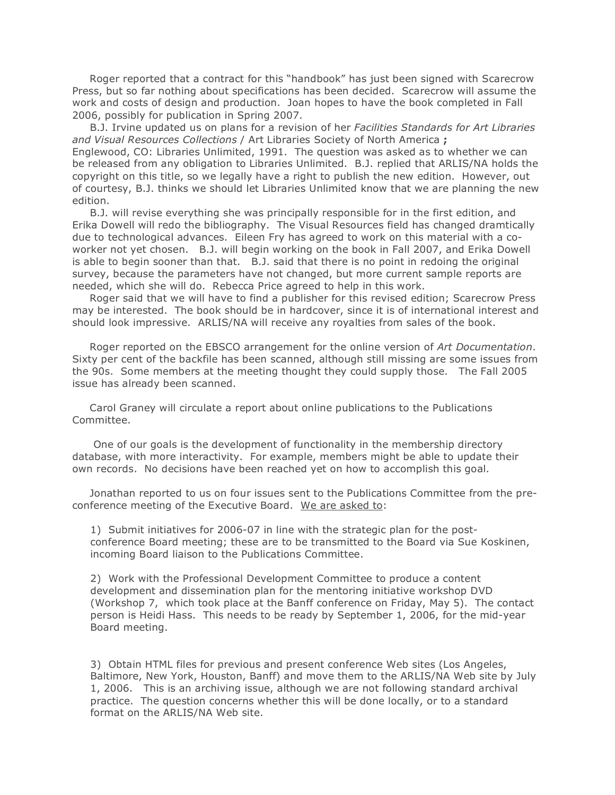Roger reported that a contract for this "handbook" has just been signed with Scarecrow Press, but so far nothing about specifications has been decided. Scarecrow will assume the work and costs of design and production. Joan hopes to have the book completed in Fall 2006, possibly for publication in Spring 2007.

B.J. Irvine updated us on plans for a revision of her *Facilities Standards for Art Libraries and Visual Resources Collections* / Art Libraries Society of North America **;** Englewood, CO: Libraries Unlimited, 1991. The question was asked as to whether we can be released from any obligation to Libraries Unlimited. B.J. replied that ARLIS/NA holds the copyright on this title, so we legally have a right to publish the new edition. However, out of courtesy, B.J. thinks we should let Libraries Unlimited know that we are planning the new edition.

B.J. will revise everything she was principally responsible for in the first edition, and Erika Dowell will redo the bibliography. The Visual Resources field has changed dramtically due to technological advances. Eileen Fry has agreed to work on this material with a coworker not yet chosen. B.J. will begin working on the book in Fall 2007, and Erika Dowell is able to begin sooner than that. B.J. said that there is no point in redoing the original survey, because the parameters have not changed, but more current sample reports are needed, which she will do. Rebecca Price agreed to help in this work.

Roger said that we will have to find a publisher for this revised edition; Scarecrow Press may be interested. The book should be in hardcover, since it is of international interest and should look impressive. ARLIS/NA will receive any royalties from sales of the book.

Roger reported on the EBSCO arrangement for the online version of *Art Documentation*. Sixty per cent of the backfile has been scanned, although still missing are some issues from the 90s. Some members at the meeting thought they could supply those. The Fall 2005 issue has already been scanned.

Carol Graney will circulate a report about online publications to the Publications Committee.

One of our goals is the development of functionality in the membership directory database, with more interactivity. For example, members might be able to update their own records. No decisions have been reached yet on how to accomplish this goal.

Jonathan reported to us on four issues sent to the Publications Committee from the preconference meeting of the Executive Board. We are asked to:

1) Submit initiatives for 2006-07 in line with the strategic plan for the postconference Board meeting; these are to be transmitted to the Board via Sue Koskinen, incoming Board liaison to the Publications Committee.

2) Work with the Professional Development Committee to produce a content development and dissemination plan for the mentoring initiative workshop DVD (Workshop 7, which took place at the Banff conference on Friday, May 5). The contact person is Heidi Hass. This needs to be ready by September 1, 2006, for the mid-year Board meeting.

3) Obtain HTML files for previous and present conference Web sites (Los Angeles, Baltimore, New York, Houston, Banff) and move them to the ARLIS/NA Web site by July 1, 2006. This is an archiving issue, although we are not following standard archival practice. The question concerns whether this will be done locally, or to a standard format on the ARLIS/NA Web site.